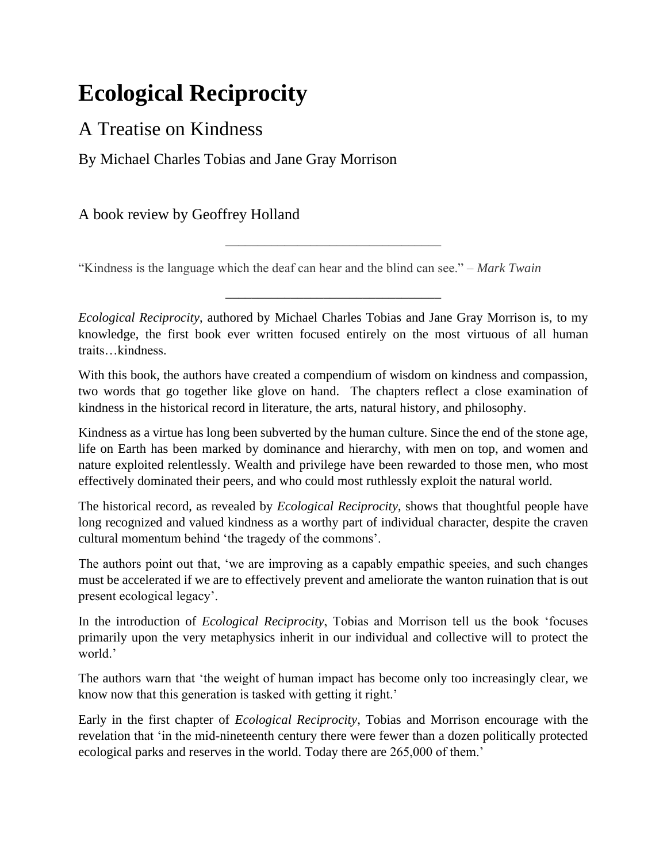## **Ecological Reciprocity**

## A Treatise on Kindness

By Michael Charles Tobias and Jane Gray Morrison

A book review by Geoffrey Holland

"Kindness is the language which the deaf can hear and the blind can see." – *Mark Twain*

*Ecological Reciprocity*, authored by Michael Charles Tobias and Jane Gray Morrison is, to my knowledge, the first book ever written focused entirely on the most virtuous of all human traits…kindness.

\_\_\_\_\_\_\_\_\_\_\_\_\_\_\_\_\_\_\_\_\_\_\_\_\_\_\_\_\_\_\_\_\_

\_\_\_\_\_\_\_\_\_\_\_\_\_\_\_\_\_\_\_\_\_\_\_\_\_\_\_\_\_\_\_\_\_

With this book, the authors have created a compendium of wisdom on kindness and compassion, two words that go together like glove on hand. The chapters reflect a close examination of kindness in the historical record in literature, the arts, natural history, and philosophy.

Kindness as a virtue has long been subverted by the human culture. Since the end of the stone age, life on Earth has been marked by dominance and hierarchy, with men on top, and women and nature exploited relentlessly. Wealth and privilege have been rewarded to those men, who most effectively dominated their peers, and who could most ruthlessly exploit the natural world.

The historical record, as revealed by *Ecological Reciprocity*, shows that thoughtful people have long recognized and valued kindness as a worthy part of individual character, despite the craven cultural momentum behind 'the tragedy of the commons'.

The authors point out that, 'we are improving as a capably empathic speeies, and such changes must be accelerated if we are to effectively prevent and ameliorate the wanton ruination that is out present ecological legacy'.

In the introduction of *Ecological Reciprocity*, Tobias and Morrison tell us the book 'focuses primarily upon the very metaphysics inherit in our individual and collective will to protect the world.'

The authors warn that 'the weight of human impact has become only too increasingly clear, we know now that this generation is tasked with getting it right.'

Early in the first chapter of *Ecological Reciprocity*, Tobias and Morrison encourage with the revelation that 'in the mid-nineteenth century there were fewer than a dozen politically protected ecological parks and reserves in the world. Today there are 265,000 of them.'